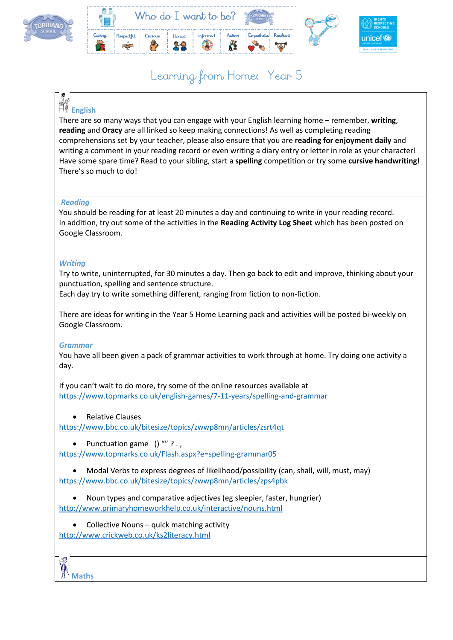



# Learning from Home: Year 5

## **English**

There are so many ways that you can engage with your English learning home – remember, **writing**, **reading** and **Oracy** are all linked so keep making connections! As well as completing reading comprehensions set by your teacher, please also ensure that you are **reading for enjoyment daily** and writing a comment in your reading record or even writing a diary entry or letter in role as your character! Have some spare time? Read to your sibling, start a **spelling** competition or try some **cursive handwriting!** There's so much to do!

#### *Reading*

You should be reading for at least 20 minutes a day and continuing to write in your reading record. In addition, try out some of the activities in the **Reading Activity Log Sheet** which has been posted on Google Classroom.

#### *Writing*

Try to write, uninterrupted, for 30 minutes a day. Then go back to edit and improve, thinking about your punctuation, spelling and sentence structure.

Each day try to write something different, ranging from fiction to non-fiction.

There are ideas for writing in the Year 5 Home Learning pack and activities will be posted bi-weekly on Google Classroom.

#### *Grammar*

You have all been given a pack of grammar activities to work through at home. Try doing one activity a day.

If you can't wait to do more, try some of the online resources available at <https://www.topmarks.co.uk/english-games/7-11-years/spelling-and-grammar>

Relative Clauses

<https://www.bbc.co.uk/bitesize/topics/zwwp8mn/articles/zsrt4qt>

• Punctuation game  $()$  "" ? . ,

<https://www.topmarks.co.uk/Flash.aspx?e=spelling-grammar05>

 Modal Verbs to express degrees of likelihood/possibility (can, shall, will, must, may) <https://www.bbc.co.uk/bitesize/topics/zwwp8mn/articles/zps4pbk>

 Noun types and comparative adjectives (eg sleepier, faster, hungrier) <http://www.primaryhomeworkhelp.co.uk/interactive/nouns.html>

• Collective Nouns – quick matching activity <http://www.crickweb.co.uk/ks2literacy.html>

**Maths**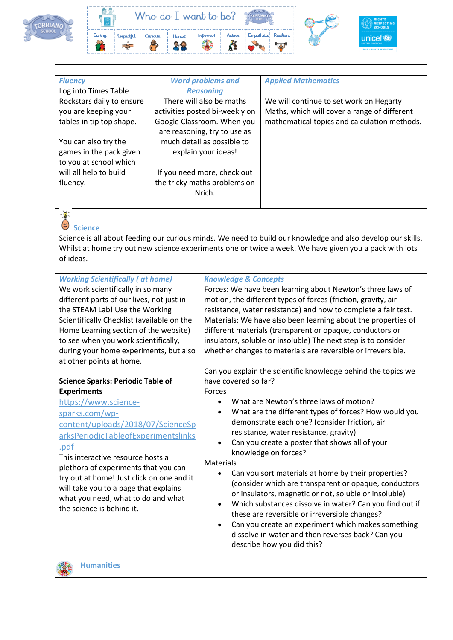



| <b>Fluency</b><br>Log into Times Table                                                                                                                                                                                                                                                                                                                                                                                             | <b>Word problems and</b><br><b>Reasoning</b> |                                                                                                                                                                                                                                                                                                                                                                                                                                                                                                  | <b>Applied Mathematics</b>                                                                                                                                                                                                                                                                                                                                                                                                                                                                                                                                                                                                                                                                                                                                           |  |  |
|------------------------------------------------------------------------------------------------------------------------------------------------------------------------------------------------------------------------------------------------------------------------------------------------------------------------------------------------------------------------------------------------------------------------------------|----------------------------------------------|--------------------------------------------------------------------------------------------------------------------------------------------------------------------------------------------------------------------------------------------------------------------------------------------------------------------------------------------------------------------------------------------------------------------------------------------------------------------------------------------------|----------------------------------------------------------------------------------------------------------------------------------------------------------------------------------------------------------------------------------------------------------------------------------------------------------------------------------------------------------------------------------------------------------------------------------------------------------------------------------------------------------------------------------------------------------------------------------------------------------------------------------------------------------------------------------------------------------------------------------------------------------------------|--|--|
| Rockstars daily to ensure<br>you are keeping your<br>tables in tip top shape.<br>You can also try the<br>games in the pack given<br>to you at school which<br>will all help to build<br>fluency.                                                                                                                                                                                                                                   |                                              | There will also be maths<br>activities posted bi-weekly on<br>Google Classroom. When you<br>are reasoning, try to use as<br>much detail as possible to<br>explain your ideas!<br>If you need more, check out<br>the tricky maths problems on<br>Nrich.                                                                                                                                                                                                                                           | We will continue to set work on Hegarty<br>Maths, which will cover a range of different<br>mathematical topics and calculation methods.                                                                                                                                                                                                                                                                                                                                                                                                                                                                                                                                                                                                                              |  |  |
| $-\frac{1}{2}$<br>$\odot$<br><b>Science</b><br>Science is all about feeding our curious minds. We need to build our knowledge and also develop our skills.<br>Whilst at home try out new science experiments one or twice a week. We have given you a pack with lots<br>of ideas.                                                                                                                                                  |                                              |                                                                                                                                                                                                                                                                                                                                                                                                                                                                                                  |                                                                                                                                                                                                                                                                                                                                                                                                                                                                                                                                                                                                                                                                                                                                                                      |  |  |
| <b>Working Scientifically (at home)</b><br>We work scientifically in so many<br>different parts of our lives, not just in<br>the STEAM Lab! Use the Working<br>Scientifically Checklist (available on the<br>Home Learning section of the website)<br>to see when you work scientifically,<br>during your home experiments, but also<br>at other points at home.                                                                   |                                              | <b>Knowledge &amp; Concepts</b><br>Forces: We have been learning about Newton's three laws of<br>motion, the different types of forces (friction, gravity, air<br>resistance, water resistance) and how to complete a fair test.<br>Materials: We have also been learning about the properties of<br>different materials (transparent or opaque, conductors or<br>insulators, soluble or insoluble) The next step is to consider<br>whether changes to materials are reversible or irreversible. |                                                                                                                                                                                                                                                                                                                                                                                                                                                                                                                                                                                                                                                                                                                                                                      |  |  |
| <b>Science Sparks: Periodic Table of</b><br><b>Experiments</b><br>https://www.science-<br>sparks.com/wp-<br>content/uploads/2018/07/ScienceSp<br>arksPeriodicTableofExperimentslinks<br>.pdf<br>This interactive resource hosts a<br>plethora of experiments that you can<br>try out at home! Just click on one and it<br>will take you to a page that explains<br>what you need, what to do and what<br>the science is behind it. |                                              | have covered so far?<br>Forces<br>$\bullet$<br>$\bullet$<br>Materials<br>$\bullet$<br>$\bullet$<br>$\bullet$                                                                                                                                                                                                                                                                                                                                                                                     | Can you explain the scientific knowledge behind the topics we<br>What are Newton's three laws of motion?<br>What are the different types of forces? How would you<br>demonstrate each one? (consider friction, air<br>resistance, water resistance, gravity)<br>Can you create a poster that shows all of your<br>knowledge on forces?<br>Can you sort materials at home by their properties?<br>(consider which are transparent or opaque, conductors<br>or insulators, magnetic or not, soluble or insoluble)<br>Which substances dissolve in water? Can you find out if<br>these are reversible or irreversible changes?<br>Can you create an experiment which makes something<br>dissolve in water and then reverses back? Can you<br>describe how you did this? |  |  |



位名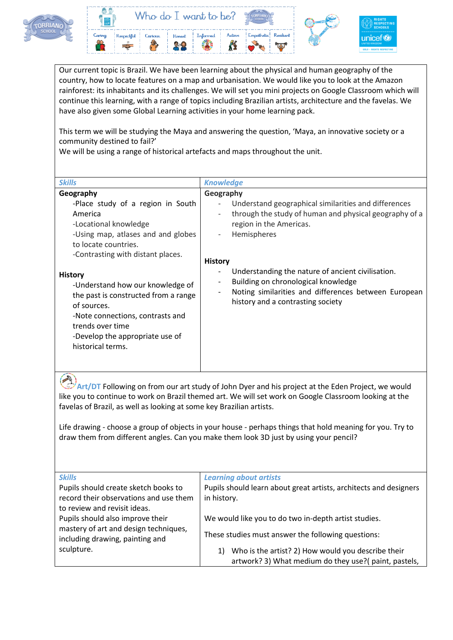



Our current topic is Brazil. We have been learning about the physical and human geography of the country, how to locate features on a map and urbanisation. We would like you to look at the Amazon rainforest: its inhabitants and its challenges. We will set you mini projects on Google Classroom which will continue this learning, with a range of topics including Brazilian artists, architecture and the favelas. We have also given some Global Learning activities in your home learning pack.

This term we will be studying the Maya and answering the question, 'Maya, an innovative society or a community destined to fail?'

We will be using a range of historical artefacts and maps throughout the unit.

| <b>Skills</b>                                                                                                                                                                                                                                                                                                                                                                                                                                                                 | <b>Knowledge</b>                                                                                                                                                                                                                                                                                                                                  |  |  |
|-------------------------------------------------------------------------------------------------------------------------------------------------------------------------------------------------------------------------------------------------------------------------------------------------------------------------------------------------------------------------------------------------------------------------------------------------------------------------------|---------------------------------------------------------------------------------------------------------------------------------------------------------------------------------------------------------------------------------------------------------------------------------------------------------------------------------------------------|--|--|
| Geography<br>Geography<br>-Place study of a region in South<br>America<br>$\overline{\phantom{0}}$<br>-Locational knowledge<br>-Using map, atlases and and globes<br>to locate countries.<br>-Contrasting with distant places.<br><b>History</b><br><b>History</b><br>-Understand how our knowledge of<br>the past is constructed from a range<br>of sources.<br>-Note connections, contrasts and<br>trends over time<br>-Develop the appropriate use of<br>historical terms. | Understand geographical similarities and differences<br>through the study of human and physical geography of a<br>region in the Americas.<br>Hemispheres<br>Understanding the nature of ancient civilisation.<br>Building on chronological knowledge<br>Noting similarities and differences between European<br>history and a contrasting society |  |  |

**Art/DT** Following on from our art study of John Dyer and his project at the Eden Project, we would like you to continue to work on Brazil themed art. We will set work on Google Classroom looking at the favelas of Brazil, as well as looking at some key Brazilian artists.

Life drawing - choose a group of objects in your house - perhaps things that hold meaning for you. Try to draw them from different angles. Can you make them look 3D just by using your pencil?

| <b>Skills</b>                          | <b>Learning about artists</b>                                     |  |  |
|----------------------------------------|-------------------------------------------------------------------|--|--|
| Pupils should create sketch books to   | Pupils should learn about great artists, architects and designers |  |  |
| record their observations and use them | in history.                                                       |  |  |
| to review and revisit ideas.           |                                                                   |  |  |
| Pupils should also improve their       | We would like you to do two in-depth artist studies.              |  |  |
| mastery of art and design techniques,  |                                                                   |  |  |
| including drawing, painting and        | These studies must answer the following questions:                |  |  |
| sculpture.                             | Who is the artist? 2) How would you describe their<br>1)          |  |  |
|                                        | artwork? 3) What medium do they use?(paint, pastels,              |  |  |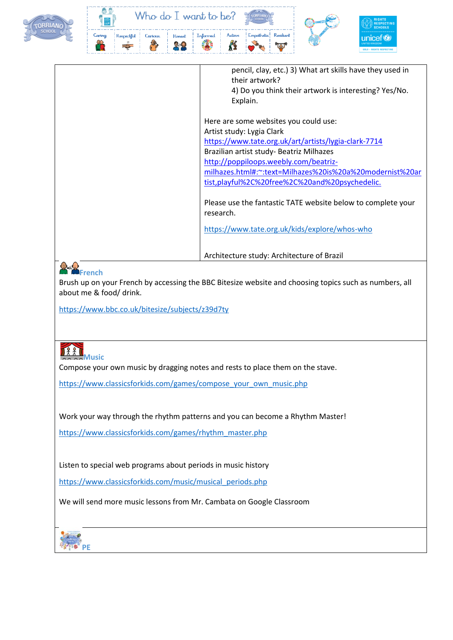



|                                                                                                                                                                                                                                                                                                                                                                                                                                                                                         | pencil, clay, etc.) 3) What art skills have they used in<br>their artwork? |
|-----------------------------------------------------------------------------------------------------------------------------------------------------------------------------------------------------------------------------------------------------------------------------------------------------------------------------------------------------------------------------------------------------------------------------------------------------------------------------------------|----------------------------------------------------------------------------|
|                                                                                                                                                                                                                                                                                                                                                                                                                                                                                         | 4) Do you think their artwork is interesting? Yes/No.                      |
|                                                                                                                                                                                                                                                                                                                                                                                                                                                                                         | Explain.                                                                   |
|                                                                                                                                                                                                                                                                                                                                                                                                                                                                                         |                                                                            |
|                                                                                                                                                                                                                                                                                                                                                                                                                                                                                         | Here are some websites you could use:                                      |
|                                                                                                                                                                                                                                                                                                                                                                                                                                                                                         | Artist study: Lygia Clark                                                  |
|                                                                                                                                                                                                                                                                                                                                                                                                                                                                                         | https://www.tate.org.uk/art/artists/lygia-clark-7714                       |
|                                                                                                                                                                                                                                                                                                                                                                                                                                                                                         | Brazilian artist study- Beatriz Milhazes                                   |
|                                                                                                                                                                                                                                                                                                                                                                                                                                                                                         | http://poppiloops.weebly.com/beatriz-                                      |
|                                                                                                                                                                                                                                                                                                                                                                                                                                                                                         | milhazes.html#:~:text=Milhazes%20is%20a%20modernist%20ar                   |
|                                                                                                                                                                                                                                                                                                                                                                                                                                                                                         | tist, playful%2C%20free%2C%20and%20psychedelic.                            |
|                                                                                                                                                                                                                                                                                                                                                                                                                                                                                         |                                                                            |
|                                                                                                                                                                                                                                                                                                                                                                                                                                                                                         | Please use the fantastic TATE website below to complete your               |
|                                                                                                                                                                                                                                                                                                                                                                                                                                                                                         | research.                                                                  |
|                                                                                                                                                                                                                                                                                                                                                                                                                                                                                         |                                                                            |
|                                                                                                                                                                                                                                                                                                                                                                                                                                                                                         | https://www.tate.org.uk/kids/explore/whos-who                              |
|                                                                                                                                                                                                                                                                                                                                                                                                                                                                                         |                                                                            |
|                                                                                                                                                                                                                                                                                                                                                                                                                                                                                         |                                                                            |
|                                                                                                                                                                                                                                                                                                                                                                                                                                                                                         | Architecture study: Architecture of Brazil                                 |
| $\bigoplus_{\alpha\in\mathcal{A}}\bigoplus_{\alpha\in\mathcal{A}}\bigoplus_{\alpha\in\mathcal{A}}\bigoplus_{\alpha\in\mathcal{A}}\bigoplus_{\alpha\in\mathcal{A}}\bigoplus_{\alpha\in\mathcal{A}}\bigoplus_{\alpha\in\mathcal{A}}\bigoplus_{\alpha\in\mathcal{A}}\bigoplus_{\alpha\in\mathcal{A}}\bigoplus_{\alpha\in\mathcal{A}}\bigoplus_{\alpha\in\mathcal{A}}\bigoplus_{\alpha\in\mathcal{A}}\bigoplus_{\alpha\in\mathcal{A}}\bigoplus_{\alpha\in\mathcal{A}}\bigoplus_{\alpha\in\$ |                                                                            |

### **French**

Brush up on your French by accessing the BBC Bitesize website and choosing topics such as numbers, all about me & food/ drink.

<https://www.bbc.co.uk/bitesize/subjects/z39d7ty>



Compose your own music by dragging notes and rests to place them on the stave.

[https://www.classicsforkids.com/games/compose\\_your\\_own\\_music.php](https://www.classicsforkids.com/games/compose_your_own_music.php)

Work your way through the rhythm patterns and you can become a Rhythm Master!

[https://www.classicsforkids.com/games/rhythm\\_master.php](https://www.classicsforkids.com/games/rhythm_master.php)

Listen to special web programs about periods in music history

[https://www.classicsforkids.com/music/musical\\_periods.php](https://www.classicsforkids.com/music/musical_periods.php)

We will send more music lessons from Mr. Cambata on Google Classroom

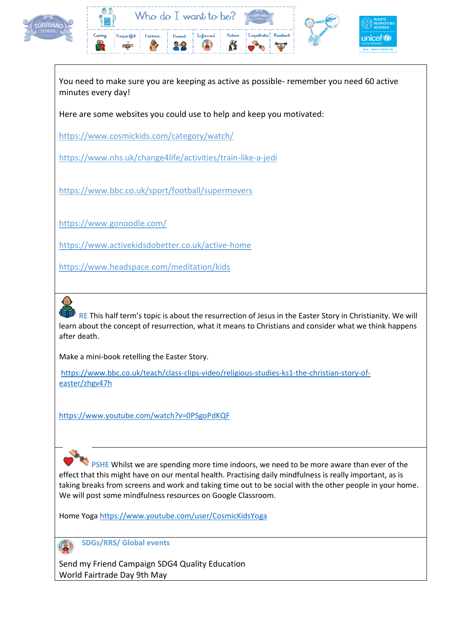



You need to make sure you are keeping as active as possible- remember you need 60 active minutes every day!

Here are some websites you could use to help and keep you motivated:

<https://www.cosmickids.com/category/watch/>

<https://www.nhs.uk/change4life/activities/train-like-a-jedi>

<https://www.bbc.co.uk/sport/football/supermovers>

<https://www.gonoodle.com/>

<https://www.activekidsdobetter.co.uk/active-home>

<https://www.headspace.com/meditation/kids>



**RE** This half term's topic is about the resurrection of Jesus in the Easter Story in Christianity. We will learn about the concept of resurrection, what it means to Christians and consider what we think happens after death.

Make a mini-book retelling the Easter Story.

[https://www.bbc.co.uk/teach/class-clips-video/religious-studies-ks1-the-christian-story-of](https://www.bbc.co.uk/teach/class-clips-video/religious-studies-ks1-the-christian-story-of-easter/zhgv47h)[easter/zhgv47h](https://www.bbc.co.uk/teach/class-clips-video/religious-studies-ks1-the-christian-story-of-easter/zhgv47h)

<https://www.youtube.com/watch?v=0PSgoPdKQF>

 **PSHE** Whilst we are spending more time indoors, we need to be more aware than ever of the effect that this might have on our mental health. Practising daily mindfulness is really important, as is taking breaks from screens and work and taking time out to be social with the other people in your home. We will post some mindfulness resources on Google Classroom.

Home Yoga<https://www.youtube.com/user/CosmicKidsYoga>

**SDGs/RRS/ Global events** 

Send my Friend Campaign SDG4 Quality Education World Fairtrade Day 9th May